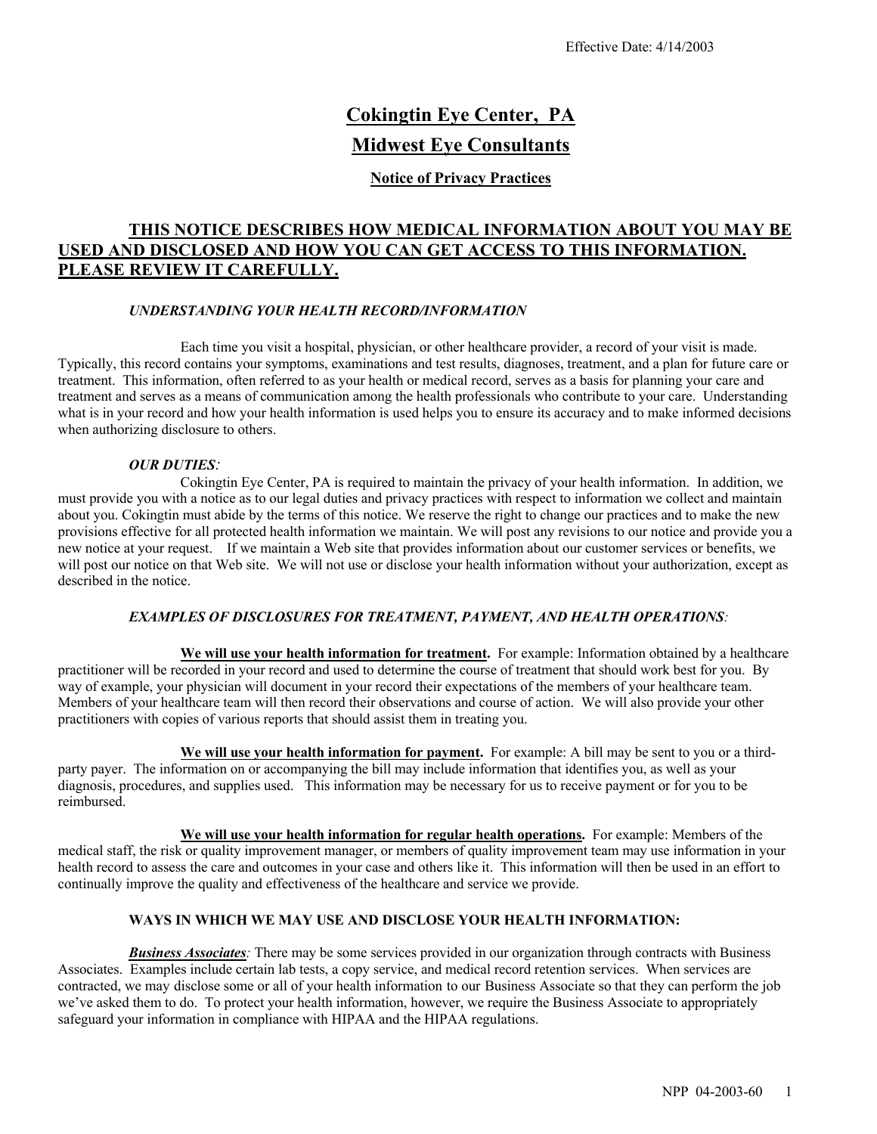# **Cokingtin Eye Center, PA Midwest Eye Consultants**

## **Notice of Privacy Practices**

# **THIS NOTICE DESCRIBES HOW MEDICAL INFORMATION ABOUT YOU MAY BE USED AND DISCLOSED AND HOW YOU CAN GET ACCESS TO THIS INFORMATION. PLEASE REVIEW IT CAREFULLY.**

#### *UNDERSTANDING YOUR HEALTH RECORD/INFORMATION*

Each time you visit a hospital, physician, or other healthcare provider, a record of your visit is made. Typically, this record contains your symptoms, examinations and test results, diagnoses, treatment, and a plan for future care or treatment. This information, often referred to as your health or medical record, serves as a basis for planning your care and treatment and serves as a means of communication among the health professionals who contribute to your care. Understanding what is in your record and how your health information is used helps you to ensure its accuracy and to make informed decisions when authorizing disclosure to others.

#### *OUR DUTIES:*

Cokingtin Eye Center, PA is required to maintain the privacy of your health information. In addition, we must provide you with a notice as to our legal duties and privacy practices with respect to information we collect and maintain about you. Cokingtin must abide by the terms of this notice. We reserve the right to change our practices and to make the new provisions effective for all protected health information we maintain. We will post any revisions to our notice and provide you a new notice at your request. If we maintain a Web site that provides information about our customer services or benefits, we will post our notice on that Web site. We will not use or disclose your health information without your authorization, except as described in the notice.

#### *EXAMPLES OF DISCLOSURES FOR TREATMENT, PAYMENT, AND HEALTH OPERATIONS:*

We will use your health information for treatment. For example: Information obtained by a healthcare practitioner will be recorded in your record and used to determine the course of treatment that should work best for you. By way of example, your physician will document in your record their expectations of the members of your healthcare team. Members of your healthcare team will then record their observations and course of action. We will also provide your other practitioners with copies of various reports that should assist them in treating you.

**We will use your health information for payment.** For example: A bill may be sent to you or a thirdparty payer. The information on or accompanying the bill may include information that identifies you, as well as your diagnosis, procedures, and supplies used. This information may be necessary for us to receive payment or for you to be reimbursed.

**We will use your health information for regular health operations.** For example: Members of the medical staff, the risk or quality improvement manager, or members of quality improvement team may use information in your health record to assess the care and outcomes in your case and others like it. This information will then be used in an effort to continually improve the quality and effectiveness of the healthcare and service we provide.

#### **WAYS IN WHICH WE MAY USE AND DISCLOSE YOUR HEALTH INFORMATION:**

*Business Associates:* There may be some services provided in our organization through contracts with Business Associates. Examples include certain lab tests, a copy service, and medical record retention services. When services are contracted, we may disclose some or all of your health information to our Business Associate so that they can perform the job we've asked them to do. To protect your health information, however, we require the Business Associate to appropriately safeguard your information in compliance with HIPAA and the HIPAA regulations.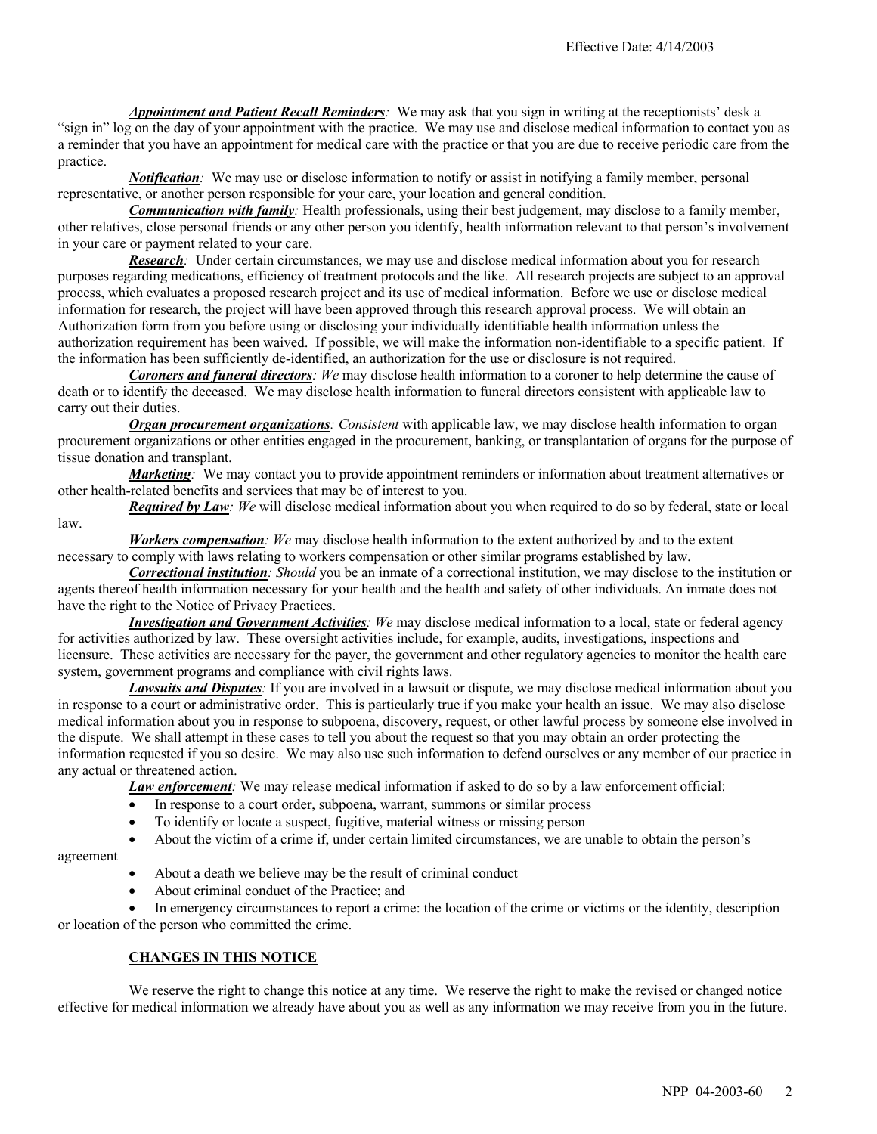*Appointment and Patient Recall Reminders:* We may ask that you sign in writing at the receptionists' desk a "sign in" log on the day of your appointment with the practice. We may use and disclose medical information to contact you as a reminder that you have an appointment for medical care with the practice or that you are due to receive periodic care from the practice.

*Notification:* We may use or disclose information to notify or assist in notifying a family member, personal representative, or another person responsible for your care, your location and general condition.

*Communication with family:* Health professionals, using their best judgement, may disclose to a family member, other relatives, close personal friends or any other person you identify, health information relevant to that person's involvement in your care or payment related to your care.

*Research:* Under certain circumstances, we may use and disclose medical information about you for research purposes regarding medications, efficiency of treatment protocols and the like. All research projects are subject to an approval process, which evaluates a proposed research project and its use of medical information. Before we use or disclose medical information for research, the project will have been approved through this research approval process. We will obtain an Authorization form from you before using or disclosing your individually identifiable health information unless the authorization requirement has been waived. If possible, we will make the information non-identifiable to a specific patient. If the information has been sufficiently de-identified, an authorization for the use or disclosure is not required.

*Coroners and funeral directors: We* may disclose health information to a coroner to help determine the cause of death or to identify the deceased. We may disclose health information to funeral directors consistent with applicable law to carry out their duties.

*Organ procurement organizations: Consistent* with applicable law, we may disclose health information to organ procurement organizations or other entities engaged in the procurement, banking, or transplantation of organs for the purpose of tissue donation and transplant.

*Marketing*<sub>*:*</sub> We may contact you to provide appointment reminders or information about treatment alternatives or other health-related benefits and services that may be of interest to you.

*Required by Law: We* will disclose medical information about you when required to do so by federal, state or local law.

*Workers compensation: We* may disclose health information to the extent authorized by and to the extent necessary to comply with laws relating to workers compensation or other similar programs established by law.

*Correctional institution: Should* you be an inmate of a correctional institution, we may disclose to the institution or agents thereof health information necessary for your health and the health and safety of other individuals. An inmate does not have the right to the Notice of Privacy Practices.

*Investigation and Government Activities: We* may disclose medical information to a local, state or federal agency for activities authorized by law. These oversight activities include, for example, audits, investigations, inspections and licensure. These activities are necessary for the payer, the government and other regulatory agencies to monitor the health care system, government programs and compliance with civil rights laws.

*Lawsuits and Disputes:* If you are involved in a lawsuit or dispute, we may disclose medical information about you in response to a court or administrative order. This is particularly true if you make your health an issue. We may also disclose medical information about you in response to subpoena, discovery, request, or other lawful process by someone else involved in the dispute. We shall attempt in these cases to tell you about the request so that you may obtain an order protecting the information requested if you so desire. We may also use such information to defend ourselves or any member of our practice in any actual or threatened action.

*Law enforcement:* We may release medical information if asked to do so by a law enforcement official:

- In response to a court order, subpoena, warrant, summons or similar process
- To identify or locate a suspect, fugitive, material witness or missing person

• About the victim of a crime if, under certain limited circumstances, we are unable to obtain the person's

agreement

- About a death we believe may be the result of criminal conduct
- About criminal conduct of the Practice; and

In emergency circumstances to report a crime: the location of the crime or victims or the identity, description or location of the person who committed the crime.

## **CHANGES IN THIS NOTICE**

We reserve the right to change this notice at any time. We reserve the right to make the revised or changed notice effective for medical information we already have about you as well as any information we may receive from you in the future.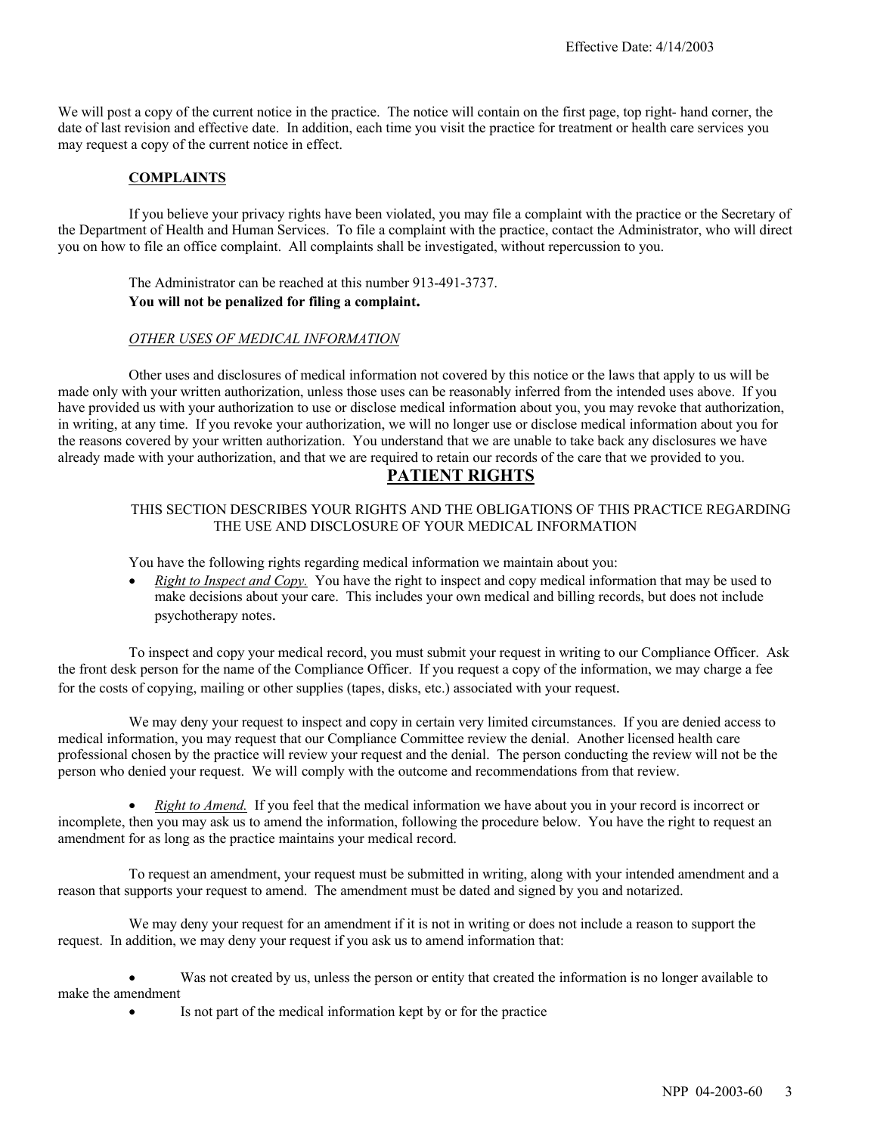We will post a copy of the current notice in the practice. The notice will contain on the first page, top right- hand corner, the date of last revision and effective date. In addition, each time you visit the practice for treatment or health care services you may request a copy of the current notice in effect.

## **COMPLAINTS**

If you believe your privacy rights have been violated, you may file a complaint with the practice or the Secretary of the Department of Health and Human Services. To file a complaint with the practice, contact the Administrator, who will direct you on how to file an office complaint. All complaints shall be investigated, without repercussion to you.

The Administrator can be reached at this number 913-491-3737. **You will not be penalized for filing a complaint.**

#### *OTHER USES OF MEDICAL INFORMATION*

Other uses and disclosures of medical information not covered by this notice or the laws that apply to us will be made only with your written authorization, unless those uses can be reasonably inferred from the intended uses above. If you have provided us with your authorization to use or disclose medical information about you, you may revoke that authorization, in writing, at any time. If you revoke your authorization, we will no longer use or disclose medical information about you for the reasons covered by your written authorization. You understand that we are unable to take back any disclosures we have already made with your authorization, and that we are required to retain our records of the care that we provided to you.

# **PATIENT RIGHTS**

#### THIS SECTION DESCRIBES YOUR RIGHTS AND THE OBLIGATIONS OF THIS PRACTICE REGARDING THE USE AND DISCLOSURE OF YOUR MEDICAL INFORMATION

You have the following rights regarding medical information we maintain about you:

• *Right to Inspect and Copy.* You have the right to inspect and copy medical information that may be used to make decisions about your care. This includes your own medical and billing records, but does not include psychotherapy notes.

To inspect and copy your medical record, you must submit your request in writing to our Compliance Officer. Ask the front desk person for the name of the Compliance Officer. If you request a copy of the information, we may charge a fee for the costs of copying, mailing or other supplies (tapes, disks, etc.) associated with your request.

We may deny your request to inspect and copy in certain very limited circumstances. If you are denied access to medical information, you may request that our Compliance Committee review the denial. Another licensed health care professional chosen by the practice will review your request and the denial. The person conducting the review will not be the person who denied your request. We will comply with the outcome and recommendations from that review.

• *Right to Amend.* If you feel that the medical information we have about you in your record is incorrect or incomplete, then you may ask us to amend the information, following the procedure below. You have the right to request an amendment for as long as the practice maintains your medical record.

To request an amendment, your request must be submitted in writing, along with your intended amendment and a reason that supports your request to amend. The amendment must be dated and signed by you and notarized.

We may deny your request for an amendment if it is not in writing or does not include a reason to support the request. In addition, we may deny your request if you ask us to amend information that:

Was not created by us, unless the person or entity that created the information is no longer available to make the amendment

Is not part of the medical information kept by or for the practice